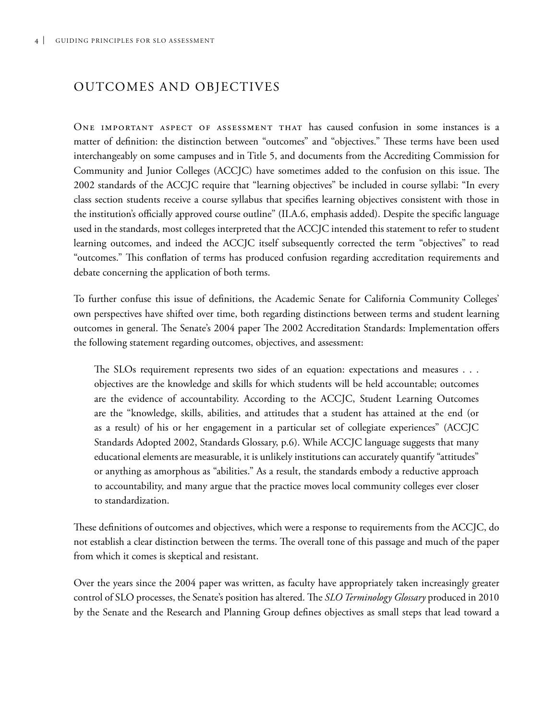## Outcomes and Objectives

One important aspect of assessment that has caused confusion in some instances is a matter of definition: the distinction between "outcomes" and "objectives." These terms have been used interchangeably on some campuses and in Title 5, and documents from the Accrediting Commission for Community and Junior Colleges (ACCJC) have sometimes added to the confusion on this issue. The 2002 standards of the ACCJC require that "learning objectives" be included in course syllabi: "In every class section students receive a course syllabus that specifies learning objectives consistent with those in the institution's officially approved course outline" (II.A.6, emphasis added). Despite the specific language used in the standards, most colleges interpreted that the ACCJC intended this statement to refer to student learning outcomes, and indeed the ACCJC itself subsequently corrected the term "objectives" to read "outcomes." This conflation of terms has produced confusion regarding accreditation requirements and debate concerning the application of both terms.

To further confuse this issue of definitions, the Academic Senate for California Community Colleges' own perspectives have shifted over time, both regarding distinctions between terms and student learning outcomes in general. The Senate's 2004 paper The 2002 Accreditation Standards: Implementation offers the following statement regarding outcomes, objectives, and assessment:

The SLOs requirement represents two sides of an equation: expectations and measures . . . objectives are the knowledge and skills for which students will be held accountable; outcomes are the evidence of accountability. According to the ACCJC, Student Learning Outcomes are the "knowledge, skills, abilities, and attitudes that a student has attained at the end (or as a result) of his or her engagement in a particular set of collegiate experiences" (ACCJC Standards Adopted 2002, Standards Glossary, p.6). While ACCJC language suggests that many educational elements are measurable, it is unlikely institutions can accurately quantify "attitudes" or anything as amorphous as "abilities." As a result, the standards embody a reductive approach to accountability, and many argue that the practice moves local community colleges ever closer to standardization.

These definitions of outcomes and objectives, which were a response to requirements from the ACCJC, do not establish a clear distinction between the terms. The overall tone of this passage and much of the paper from which it comes is skeptical and resistant.

Over the years since the 2004 paper was written, as faculty have appropriately taken increasingly greater control of SLO processes, the Senate's position has altered. The *SLO Terminology Glossary* produced in 2010 by the Senate and the Research and Planning Group defines objectives as small steps that lead toward a